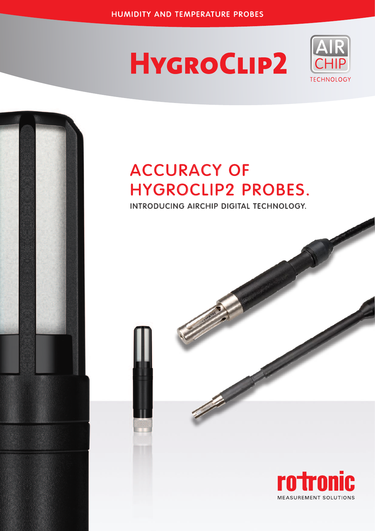# **HYGROCLIP2**



## Accuracy of HygroClip2 Probes.

Introducing AirChip Digital Technology.